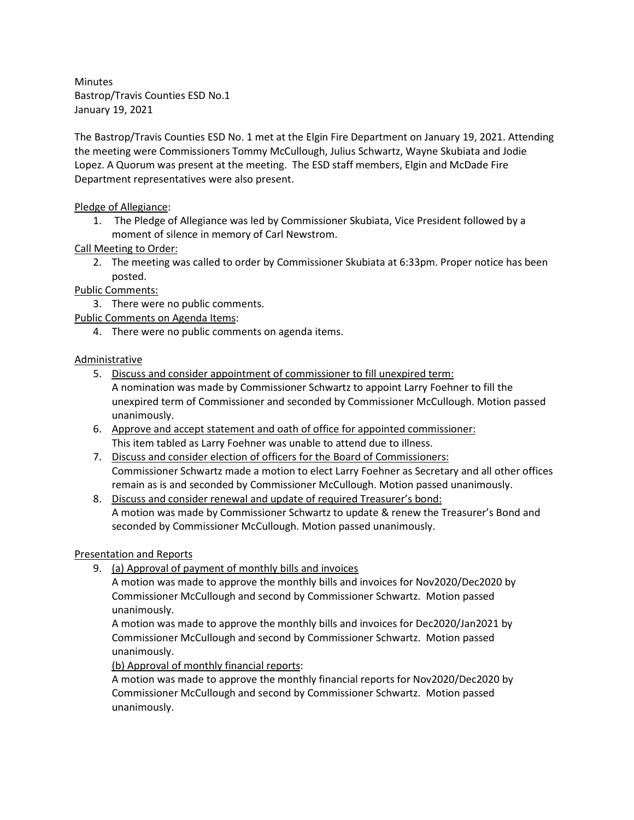Minutes Bastrop/Travis Counties ESD No.1 January 19, 2021

The Bastrop/Travis Counties ESD No. 1 met at the Elgin Fire Department on January 19, 2021. Attending the meeting were Commissioners Tommy McCullough, Julius Schwartz, Wayne Skubiata and Jodie Lopez. A Quorum was present at the meeting. The ESD staff members, Elgin and McDade Fire Department representatives were also present. rrop/Travis Counties ESD No.1<br>1. The Pledge of Allegiance SED No.1<br>1. The Pledge of Commissioners Tommy McCullough, Julius Schwartz, Wayne Skubiata and Joden<br>1. The Pledge of Allegiance was present at the meeting. The ESD rop/Travis Counties ESD No.1<br>
Bastrop/Travis Counties ESD No.1 met at the Elgin Fire Department on January 19, 2021. Attending<br>
meeting were Commissioners Tommy McCullough, Julius Schwartz, Wayne Skubiata and Jodie<br>
artmen utes<br>
strop/Travis Counties ESD No.1<br>
There is a strop/Travis Counties ESD No.1<br>
There is a strop/Travis Counties ESD No.1<br>
met at the Elgin Fire Department on Janua<br>
meeting were Commissioners Tommy McCullough, Julius Sch utes<br>
utes<br>
rrop/Travis Counties ESD No.1<br>
Bastrop/Travis Counties ESD No.1<br>
met at the Elgin Fire Department on Janua<br>
meeting were Commissioners Tommy McCullough, Julius Schwartz, Wayne Sk<br>
2. A Quorum was present at the Earty 27 2021<br>
Bastrop/Travis Counties ESD No. 1 met at the Eigin Fire Department on January 19, 2021. Atte<br>
artecting were Commissioners Tommy McCullough, Julius Schwartz, Wayne Skubiata and Jodie<br>
22. A Quorum was presen

## Pledge of Allegiance:

moment of silence in memory of Carl Newstrom.

## Call Meeting to Order:

posted.

Public Comments:

Public Comments on Agenda Items:

## Administrative

- A nomination was made by Commissioner Schwartz to appoint Larry Foehner to fill the unexpired term of Commissioner and seconded by Commissioner McCullough. Motion passed unanimously. For the Please of Allegiance:<br>
1. The Pledge of Allegiance was led by Commissioner Skubiata, Vice President followed by a<br>
1. The Pledge of Allegiance was led by Commissioner Skubiata, Vice President followed by a<br>
2. Meet Every of Allegiance:<br>
1. The Pledge of Allegiance was led by Commissioner Skubiata, Vice President followed by a<br>
2. The meeting was called to order by Commissioner Skubiata at 6:33pm. Proper notice has<br>
2. The meeting was Meeting to Order:<br>
2. The meeting was called to order by Commissioner Skubiata at 6:33pm. Proper notice ha<br>
1. Comments:<br>
2. There were no public comments.<br>
3. There were no public comments.<br>
4. There were no public commen Example 11<br>
1. There were no public comments on agenda items.<br>
4. There were no public comments on agenda items.<br>
1. There were no public comments on agenda items.<br>
5. Discuss and consider appointment of commissioner Schwa
- This item tabled as Larry Foehner was unable to attend due to illness.
- Commissioner Schwartz made a motion to elect Larry Foehner as Secretary and all other offices remain as is and seconded by Commissioner McCullough. Motion passed unanimously.
- A motion was made by Commissioner Schwartz to update & renew the Treasurer's Bond and seconded by Commissioner McCullough. Motion passed unanimously.

## Presentation and Reports

A motion was made to approve the monthly bills and invoices for Nov2020/Dec2020 by Commissioner McCullough and second by Commissioner Schwartz. Motion passed unanimously.

A motion was made to approve the monthly bills and invoices for Dec2020/Jan2021 by Commissioner McCullough and second by Commissioner Schwartz. Motion passed unanimously.

(b) Approval of monthly financial reports:

A motion was made to approve the monthly financial reports for Nov2020/Dec2020 by Commissioner McCullough and second by Commissioner Schwartz. Motion passed unanimously.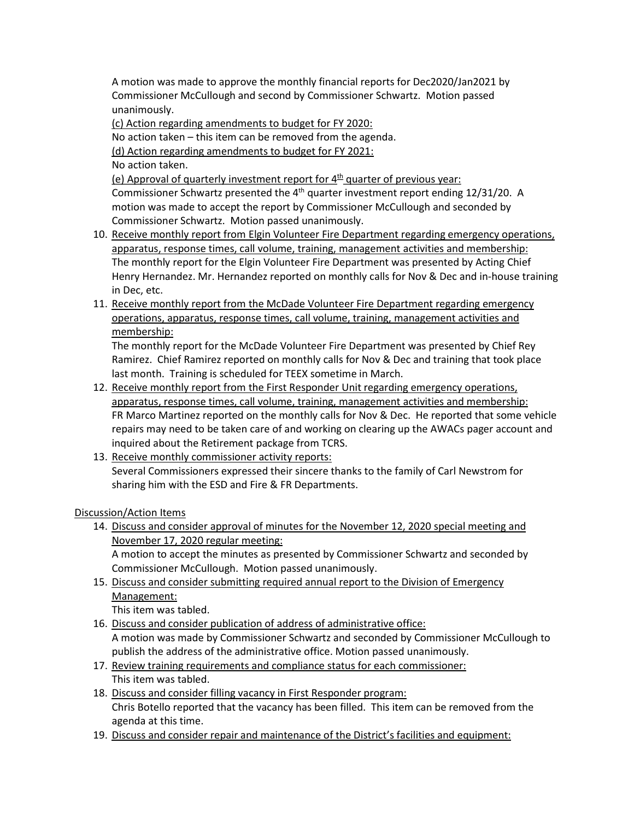A motion was made to approve the monthly financial reports for Dec2020/Jan2021 by<br>Commissioner McCullough and second by Commissioner Schwartz. Motion passed<br>unanimously.<br><u>(c) Action regarding amendments to budget for FY 20</u> Commissioner McCullough and second by Commissioner Schwartz. Motion passed unanimously.

(c) Action regarding amendments to budget for FY 2020:

(d) Action regarding amendments to budget for FY 2021:

No action taken.

A motion was made to approve the monthly financial reports for Dec2020/Jan2021 by<br>Commissioner McCullough and second by Commissioner Schwartz. Motion passed<br>unanimously.<br>No action taken – this item can be removed from the (e) Approval of quarterly investment report for  $4<sup>th</sup>$  quarter of previous year: Commissioner Schwartz presented the  $4<sup>th</sup>$  quarter investment report ending 12/31/20. A motion was made to accept the report by Commissioner McCullough and seconded by Commissioner Schwartz. Motion passed unanimously.

- A motion was made to approve the monthly financial reports for Dec2020/Jan2021 by<br>
commissioner McCullough and second by Commissioner Schwartz. Motion passed<br>
16) Action regarding amendments to budget for FY 2020:<br>
No act apparatus, response times, call volume, training, management activities and membership: The monthly report for the Elgin Volunteer Fire Department was presented by Acting Chief Henry Hernandez. Mr. Hernandez reported on monthly calls for Nov & Dec and in-house training in Dec, etc. A motion was made to approve the monthly financial reports for Dec2020/Jan2021 by<br>
commissioner McCullough and second by Commissioner Schwartz. Motion passed<br>
unanimously.<br>
(c) Action regarding amendments to budget for FY 12. Receive monthly report for the McDade Volunteer Fire Department and the NVACs Data Cali Action regarding amendments to budget for FY 2021:<br>
No action taken.<br>
No action taken.<br>
(e) Approval of quarterly investment repo motion was made to accept the report by Commissioner McCullough and<br>
20. Receive monthly report from Eigin Volunteer Fire Department regarding<br>
10. <u>Receive monthly report from Eigin Volunteer Fire Department regarding<br>
ap</u>
- operations, apparatus, response times, call volume, training, management activities and membership:

The monthly report for the McDade Volunteer Fire Department was presented by Chief Rey Ramirez. Chief Ramirez reported on monthly calls for Nov & Dec and training that took place last month. Training is scheduled for TEEX sometime in March.

- apparatus, response times, call volume, training, management activities and membership: FR Marco Martinez reported on the monthly calls for Nov & Dec. He reported that some vehicle repairs may need to be taken care of and working on clearing up the AWACs pager account and inquired about the Retirement package from TCRS. Henry Hernandez. Mr. Hernandez reported on monthly calls for Nov & Dec and in-house training<br>
in Dec, etc.<br>
11. <u>Receive monthly report from the McDade Volunteer Fire Department rearding emergency<br>
(persitions, apparatus, </u> **Examplers and Consider and Consider and Considers and considers and consider and consider to the monthly report for the McDade Volunteer Fire Department was presented by Chief Rey<br>Ramirez. Chief Ramirez reported on monthl** Instructure to the First Respondent This iten was taken to the address and consider the administration of the Subsettion of the Subsettion of FR Marco Martinez reported on the monthly calls for Nov & Dec. He reported that
- Several Commissioners expressed their sincere thanks to the family of Carl Newstrom for sharing him with the ESD and Fire & FR Departments.

Discussion/Action Items

- November 17, 2020 regular meeting: A motion to accept the minutes as presented by Commissioner Schwartz and seconded by Commissioner McCullough. Motion passed unanimously. FR Marco Matrinez reported on the monthly calls for Nov & Dec. He reported that some vehips<br>require and work to be taken care of and working on clearing up the AWAGs pager account an<br>inquired about the Retirement package f inquired about the Retirement package from TCRS.<br>
18. <u>Receive monthly commissioner activity reports:</u><br>
18. <u>Receive monthly commissioner activity reports:</u><br>
Several Commissioners expressed their sincere thanks to the fami 19. Discuss and consider repair and maintenance of the District's facilities and consider represented by Commissioner Schwartz and seconded Commissioner McCullough. Motion passed unanimously.<br>
19. Discuss and consider appr
- Management:

This item was tabled.

- A motion was made by Commissioner Schwartz and seconded by Commissioner McCullough to publish the address of the administrative office. Motion passed unanimously.
- This item was tabled.
- Chris Botello reported that the vacancy has been filled. This item can be removed from the agenda at this time.
-